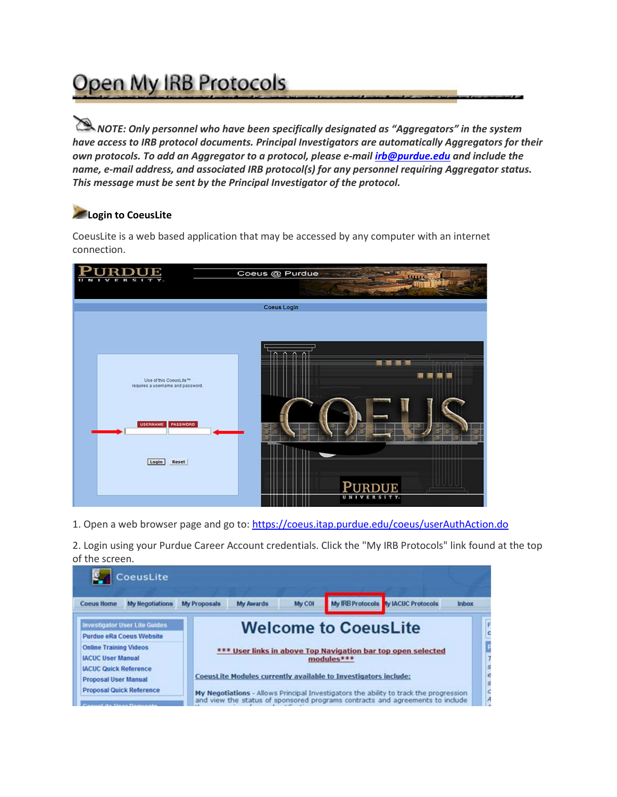## Open My IRB Protocols

*NOTE: Only personnel who have been specifically designated as "Aggregators" in the system have access to IRB protocol documents. Principal Investigators are automatically Aggregators for their own protocols. To add an Aggregator to a protocol, please e-mail [irb@purdue.edu](mailto:irb@purdue.edu) and include the name, e-mail address, and associated IRB protocol(s) for any personnel requiring Aggregator status. This message must be sent by the Principal Investigator of the protocol.* 

## **Login to CoeusLite**

CoeusLite is a web based application that may be accessed by any computer with an internet connection.



1. Open a web browser page and go to:<https://coeus.itap.purdue.edu/coeus/userAuthAction.do>

2. Login using your Purdue Career Account credentials. Click the "My IRB Protocols" link found at the top of the screen.